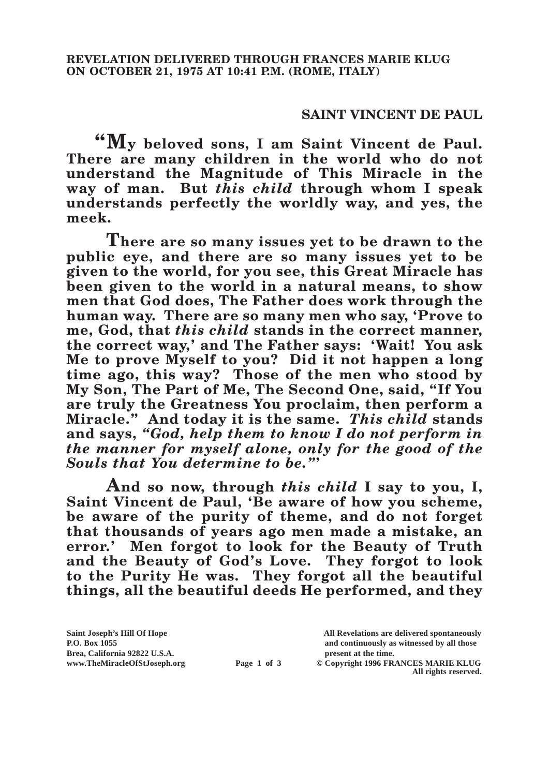## **SAINT VINCENT DE PAUL**

**"My beloved sons, I am Saint Vincent de Paul. There are many children in the world who do not understand the Magnitude of This Miracle in the way of man. But** *this child* **through whom I speak understands perfectly the worldly way, and yes, the meek.**

**There are so many issues yet to be drawn to the public eye, and there are so many issues yet to be given to the world, for you see, this Great Miracle has been given to the world in a natural means, to show men that God does, The Father does work through the human way. There are so many men who say, 'Prove to me, God, that** *this child* **stands in the correct manner, the correct way,' and The Father says: 'Wait! You ask Me to prove Myself to you? Did it not happen a long time ago, this way? Those of the men who stood by My Son, The Part of Me, The Second One, said, "If You are truly the Greatness You proclaim, then perform a Miracle." And today it is the same.** *This child* **stands and says,** *"God, help them to know I do not perform in the manner for myself alone, only for the good of the Souls that You determine to be."***'**

**And so now, through** *this child* **I say to you, I, Saint Vincent de Paul, 'Be aware of how you scheme, be aware of the purity of theme, and do not forget that thousands of years ago men made a mistake, an error.' Men forgot to look for the Beauty of Truth and the Beauty of God's Love. They forgot to look to the Purity He was. They forgot all the beautiful things, all the beautiful deeds He performed, and they** 

**Brea, California 92822 U.S.A. present at the time.**<br> **Page 1 of 3** © Copyright 1996 FR.

**Saint Joseph's Hill Of Hope All Revelations are delivered spontaneously P.O. Box 1055 and continuously as witnessed by all those** 

**Page 1 of 3** © Copyright 1996 FRANCES MARIE KLUG **All rights reserved.**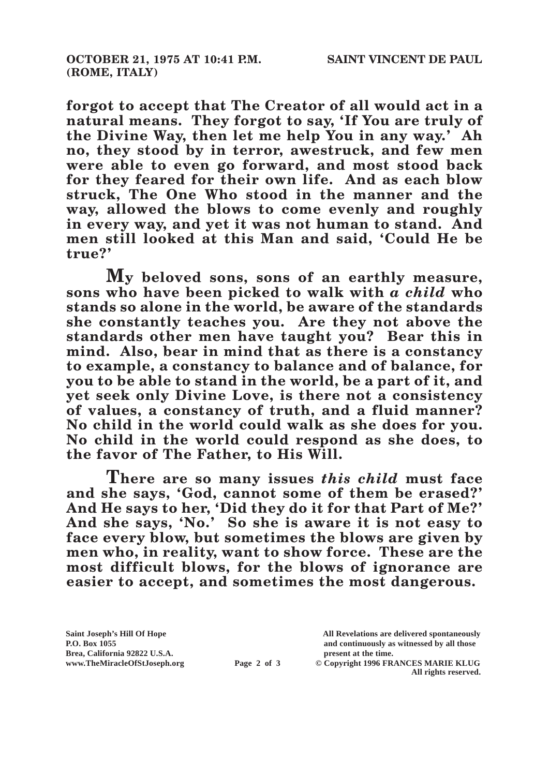**forgot to accept that The Creator of all would act in a natural means. They forgot to say, 'If You are truly of the Divine Way, then let me help You in any way.' Ah no, they stood by in terror, awestruck, and few men were able to even go forward, and most stood back for they feared for their own life. And as each blow struck, The One Who stood in the manner and the way, allowed the blows to come evenly and roughly in every way, and yet it was not human to stand. And men still looked at this Man and said, 'Could He be true?'**

**My beloved sons, sons of an earthly measure, sons who have been picked to walk with** *a child* **who stands so alone in the world, be aware of the standards she constantly teaches you. Are they not above the standards other men have taught you? Bear this in mind. Also, bear in mind that as there is a constancy to example, a constancy to balance and of balance, for you to be able to stand in the world, be a part of it, and yet seek only Divine Love, is there not a consistency of values, a constancy of truth, and a fluid manner? No child in the world could walk as she does for you. No child in the world could respond as she does, to the favor of The Father, to His Will.**

**There are so many issues** *this child* **must face and she says, 'God, cannot some of them be erased?' And He says to her, 'Did they do it for that Part of Me?' And she says, 'No.' So she is aware it is not easy to face every blow, but sometimes the blows are given by men who, in reality, want to show force. These are the most difficult blows, for the blows of ignorance are easier to accept, and sometimes the most dangerous.**

**Saint Joseph's Hill Of Hope All Revelations are delivered spontaneously Brea, California 92822 U.S.A. present at the time.**<br> **Page 2 of 3** © Copyright 1996 FR.

**P.O. Box 1055 and continuously as witnessed by all those** 

**Page 2 of 3** © Copyright 1996 FRANCES MARIE KLUG **All rights reserved.**